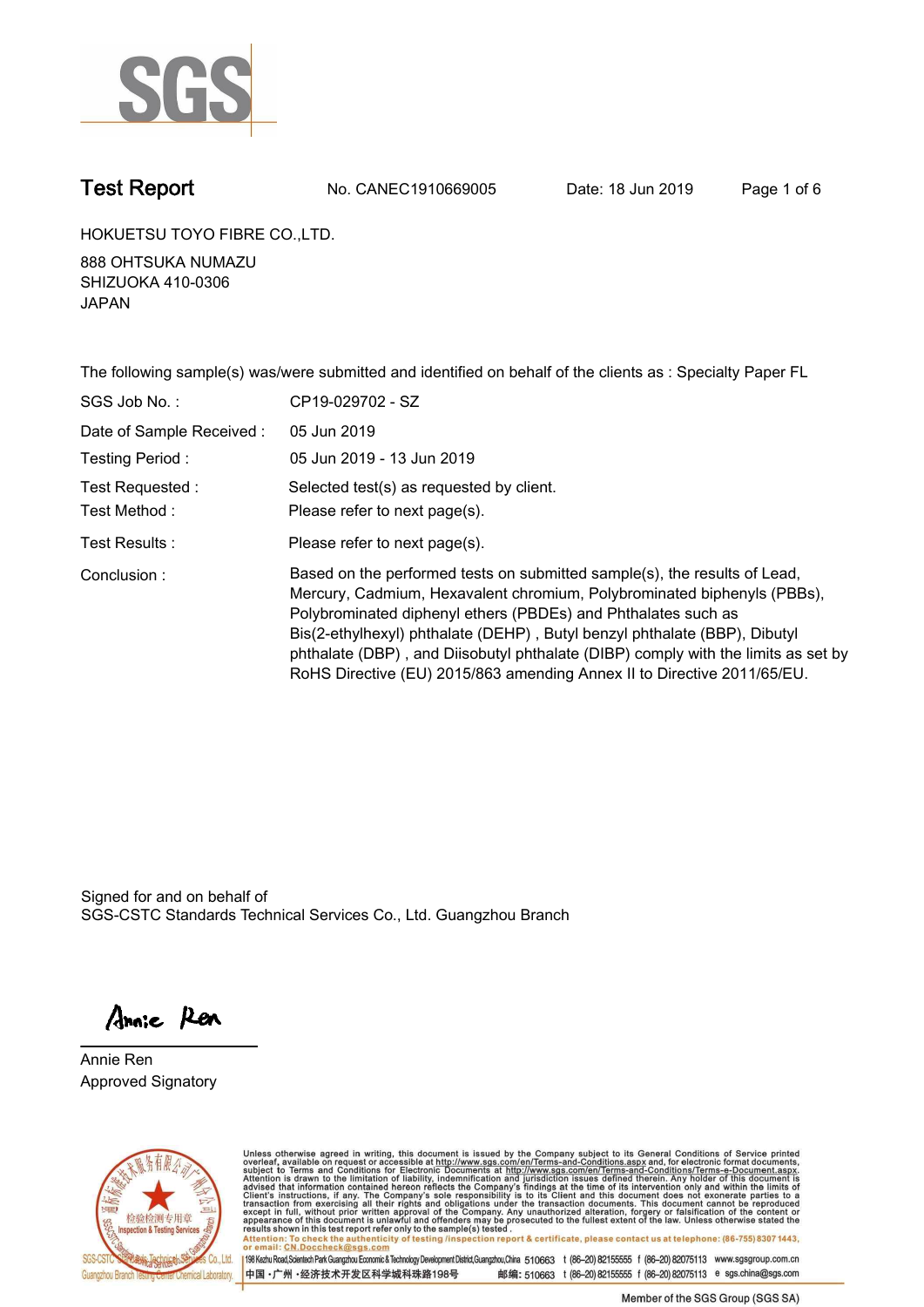

**Test Report. No. CANEC1910669005** Date: 18 Jun 2019 Page 1 of 6

**HOKUETSU TOYO FIBRE CO.,LTD..**

**888 OHTSUKA NUMAZU SHIZUOKA 410-0306 JAPAN.**

**The following sample(s) was/were submitted and identified on behalf of the clients as : Specialty Paper FL. SGS Job No. : CP19-029702 - SZ. Date of Sample Received :. 05 Jun 2019. Testing Period :. 05 Jun 2019 - 13 Jun 2019. Test Requested :. Selected test(s) as requested by client.. Please refer to next page(s).. Please refer to next page(s).**<br>Test Results : **Test Results :** Please refer to next page(s). **Conclusion :. Based on the performed tests on submitted sample(s), the results of Lead, Mercury, Cadmium, Hexavalent chromium, Polybrominated biphenyls (PBBs), Polybrominated diphenyl ethers (PBDEs) and Phthalates such as Bis(2-ethylhexyl) phthalate (DEHP) , Butyl benzyl phthalate (BBP), Dibutyl phthalate (DBP) , and Diisobutyl phthalate (DIBP) comply with the limits as set by RoHS Directive (EU) 2015/863 amending Annex II to Directive 2011/65/EU..**

Signed for and on behalf of SGS-CSTC Standards Technical Services Co., Ltd. Guangzhou Branch.

Annie Ren

**Annie Ren. Approved Signatory.**



Unless otherwise agreed in writing, this document is issued by the Company subject to its General Conditions of Service printed overleaf, available on request or accessible at http://www.sgs.com/en/Terms-and-Conditions.asp resums shown in this lost report releft only to the sample(s) rested .<br>Attention: To check the authenticity of testing /inspection report & certificate, please contact us at telephone: (86-755) 8307 1443,<br>or email: CN.Docc

198 Kezhu Road, Scientech Park Guangzhou Economic & Technology Development District, Guangzhou, China 510663 t (86-20) 82155555 f (86-20) 82075113 www.sgsgroup.com.cn 中国·广州·经济技术开发区科学城科珠路198号 邮编: 510663 t (86-20) 82155555 f (86-20) 82075113 e sgs.china@sgs.com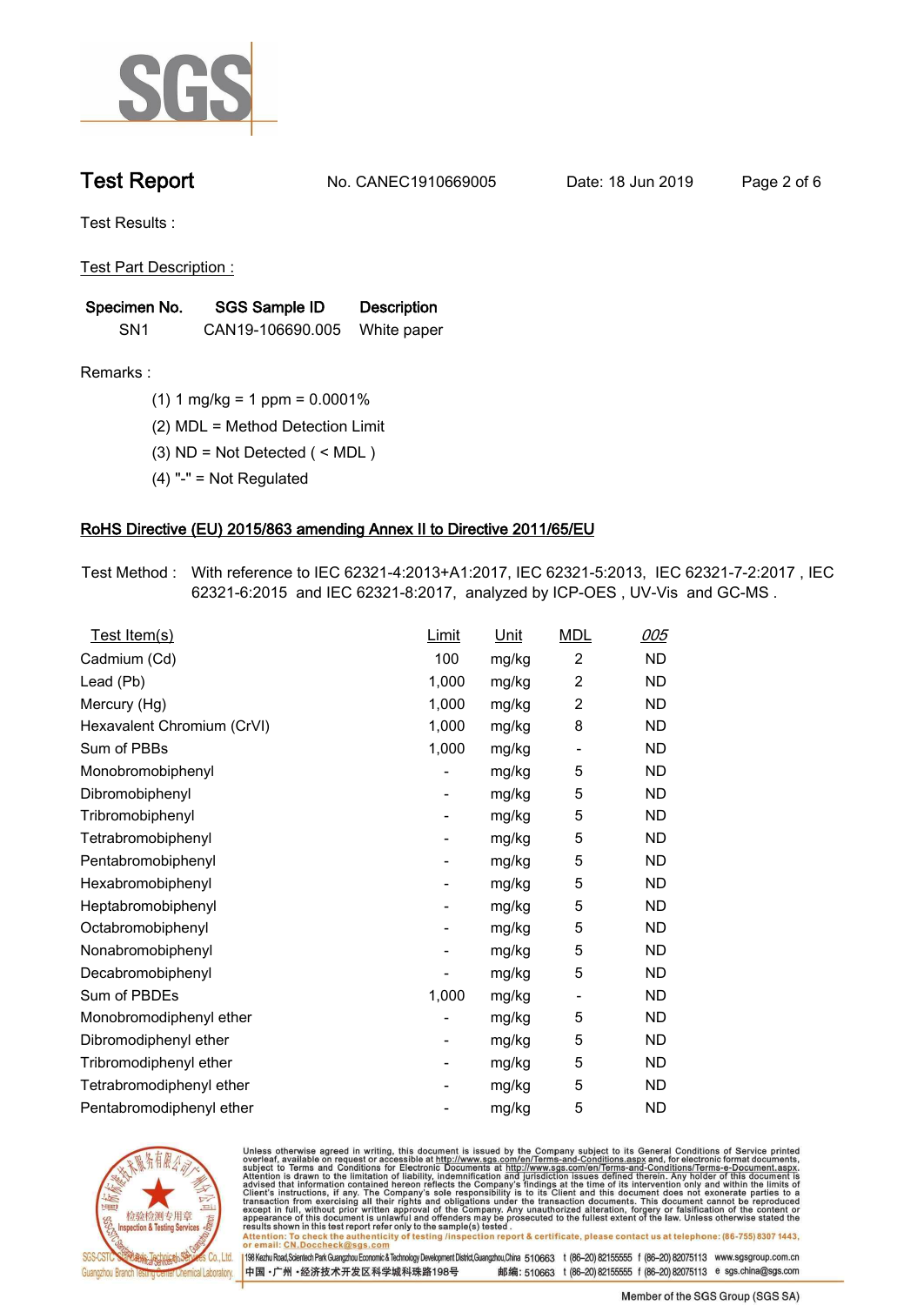

**Test Report. No. CANEC1910669005 Date: 18 Jun 2019. Page 2 of 6.**

**Test Results :.**

**Test Part Description :.**

| Specimen No.    | SGS Sample ID    | <b>Description</b> |  |
|-----------------|------------------|--------------------|--|
| SN <sub>1</sub> | CAN19-106690.005 | White paper        |  |

**Remarks :.(1) 1 mg/kg = 1 ppm = 0.0001%.**

**(2) MDL = Method Detection Limit.**

**(3) ND = Not Detected ( < MDL ).**

**(4) "-" = Not Regulated.**

### **RoHS Directive (EU) 2015/863 amending Annex II to Directive 2011/65/EU.**

**Test Method :. With reference to IEC 62321-4:2013+A1:2017, IEC 62321-5:2013, IEC 62321-7-2:2017 , IEC 62321-6:2015 and IEC 62321-8:2017, analyzed by ICP-OES , UV-Vis and GC-MS ..**

| Test Item(s)               | <u>Limit</u> | <u>Unit</u> | <b>MDL</b>               | <u>005</u> |
|----------------------------|--------------|-------------|--------------------------|------------|
| Cadmium (Cd)               | 100          | mg/kg       | $\overline{c}$           | <b>ND</b>  |
| Lead (Pb)                  | 1,000        | mg/kg       | $\overline{c}$           | <b>ND</b>  |
| Mercury (Hg)               | 1,000        | mg/kg       | 2                        | <b>ND</b>  |
| Hexavalent Chromium (CrVI) | 1,000        | mg/kg       | 8                        | <b>ND</b>  |
| Sum of PBBs                | 1,000        | mg/kg       | $\overline{\phantom{a}}$ | <b>ND</b>  |
| Monobromobiphenyl          |              | mg/kg       | 5                        | <b>ND</b>  |
| Dibromobiphenyl            | -            | mg/kg       | 5                        | <b>ND</b>  |
| Tribromobiphenyl           | -            | mg/kg       | 5                        | <b>ND</b>  |
| Tetrabromobiphenyl         |              | mg/kg       | 5                        | <b>ND</b>  |
| Pentabromobiphenyl         | -            | mg/kg       | 5                        | <b>ND</b>  |
| Hexabromobiphenyl          |              | mg/kg       | 5                        | ND         |
| Heptabromobiphenyl         | -            | mg/kg       | 5                        | <b>ND</b>  |
| Octabromobiphenyl          |              | mg/kg       | 5                        | <b>ND</b>  |
| Nonabromobiphenyl          |              | mg/kg       | 5                        | <b>ND</b>  |
| Decabromobiphenyl          |              | mg/kg       | 5                        | <b>ND</b>  |
| Sum of PBDEs               | 1,000        | mg/kg       | $\overline{\phantom{a}}$ | <b>ND</b>  |
| Monobromodiphenyl ether    |              | mg/kg       | 5                        | <b>ND</b>  |
| Dibromodiphenyl ether      | -            | mg/kg       | 5                        | <b>ND</b>  |
| Tribromodiphenyl ether     | -            | mg/kg       | 5                        | <b>ND</b>  |
| Tetrabromodiphenyl ether   |              | mg/kg       | 5                        | <b>ND</b>  |
| Pentabromodiphenyl ether   |              | mg/kg       | 5                        | <b>ND</b>  |
|                            |              |             |                          |            |



Unless otherwise agreed in writing, this document is issued by the Company subject to its General Conditions of Service printed<br>overleaf, available on request or accessible at http://www.sgs.com/en/Terms-and-Conditions.asp Attention: To check the authenticity of testing /inspection report & certificate, please contact us at telephone: (86-755) 8307 1443,<br>Attention: To check the authenticity of testing /inspection report & certificate, please

198 Kezhu Road,Scientech Park Guangzhou Economic & Technology Development District,Guangzhou,China 510663 t (86-20) 82155555 f (86-20) 82075113 www.sgsgroup.com.cn 邮编: 510663 t (86-20) 82155555 f (86-20) 82075113 e sgs.china@sgs.com 中国·广州·经济技术开发区科学城科珠路198号

Member of the SGS Group (SGS SA)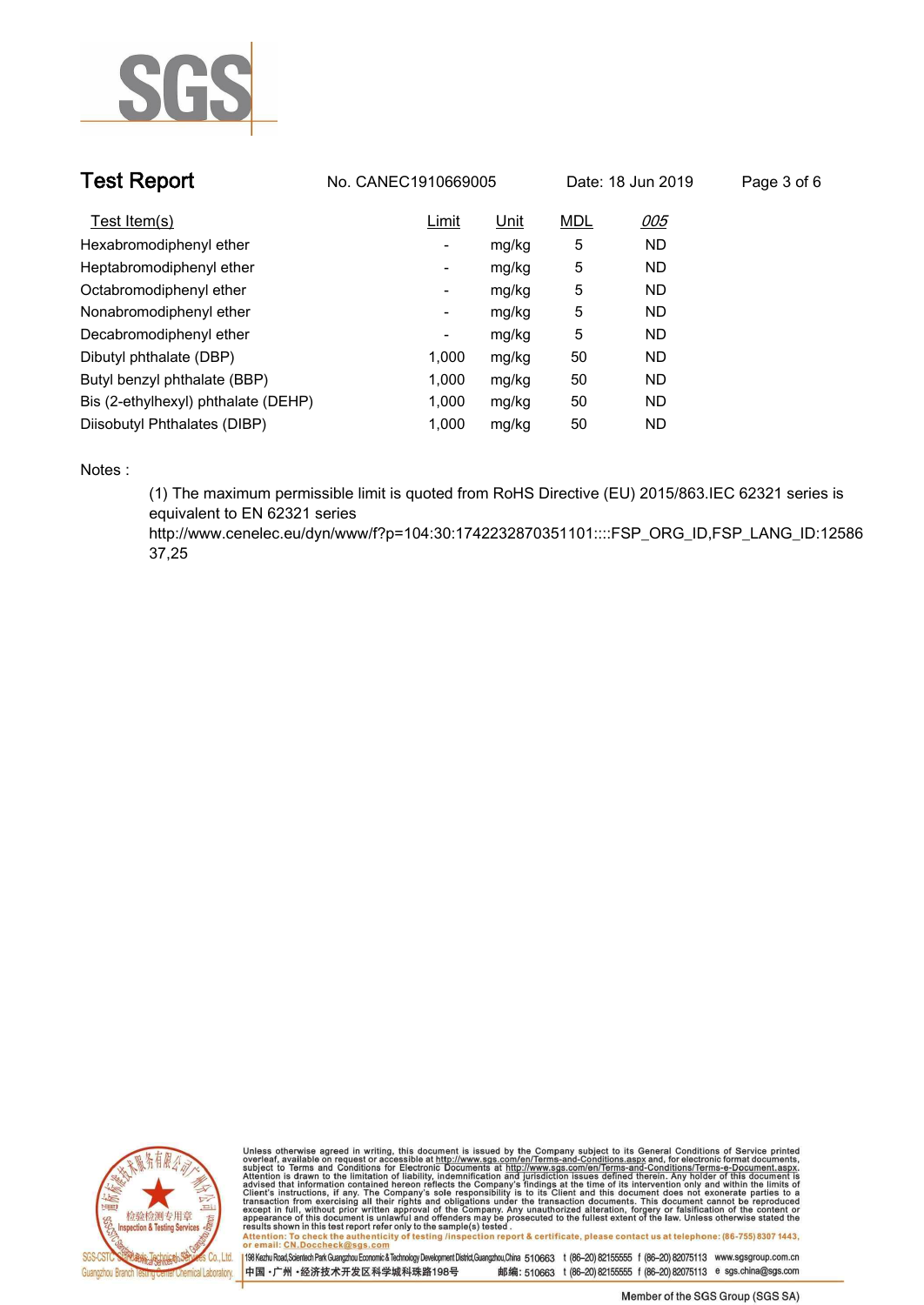

| <b>Test Report</b>                  | No. CANEC1910669005 |       | Date: 18 Jun 2019 |           | Page 3 of 6 |
|-------------------------------------|---------------------|-------|-------------------|-----------|-------------|
| Test Item(s)                        | Limit               | Unit  | <b>MDL</b>        | 005       |             |
| Hexabromodiphenyl ether             | ٠                   | mg/kg | 5                 | <b>ND</b> |             |
| Heptabromodiphenyl ether            | ٠                   | mg/kg | 5                 | <b>ND</b> |             |
| Octabromodiphenyl ether             | Ξ.                  | mg/kg | 5                 | <b>ND</b> |             |
| Nonabromodiphenyl ether             | -                   | mg/kg | 5                 | <b>ND</b> |             |
| Decabromodiphenyl ether             | ٠                   | mg/kg | 5                 | <b>ND</b> |             |
| Dibutyl phthalate (DBP)             | 1.000               | mg/kg | 50                | <b>ND</b> |             |
| Butyl benzyl phthalate (BBP)        | 1,000               | mg/kg | 50                | <b>ND</b> |             |
| Bis (2-ethylhexyl) phthalate (DEHP) | 1.000               | mg/kg | 50                | <b>ND</b> |             |
| Diisobutyl Phthalates (DIBP)        | 1.000               | mg/kg | 50                | <b>ND</b> |             |

**Notes :.**

**(1) The maximum permissible limit is quoted from RoHS Directive (EU) 2015/863.IEC 62321 series is equivalent to EN 62321 series** 

**http://www.cenelec.eu/dyn/www/f?p=104:30:1742232870351101::::FSP\_ORG\_ID,FSP\_LANG\_ID:12586 37,25.**



Unless otherwise agreed in writing, this document is issued by the Company subject to its General Conditions of Service printed<br>overleaf, available on request or accessible at http://www.sgs.com/en/Terms-and-Conditions.asp Attention: To check the authenticity of testing /inspection report & certificate, please contact us at telephone: (86-755) 8307 1443,<br>Attention: To check the authenticity of testing /inspection report & certificate, please

198 Kezhu Road,Scientech Park Guangzhou Economic & Technology Development District,Guangzhou,China 510663 t (86-20) 82155555 f (86-20) 82075113 www.sgsgroup.com.cn 中国·广州·经济技术开发区科学城科珠路198号 邮编: 510663 t (86-20) 82155555 f (86-20) 82075113 e sgs.china@sgs.com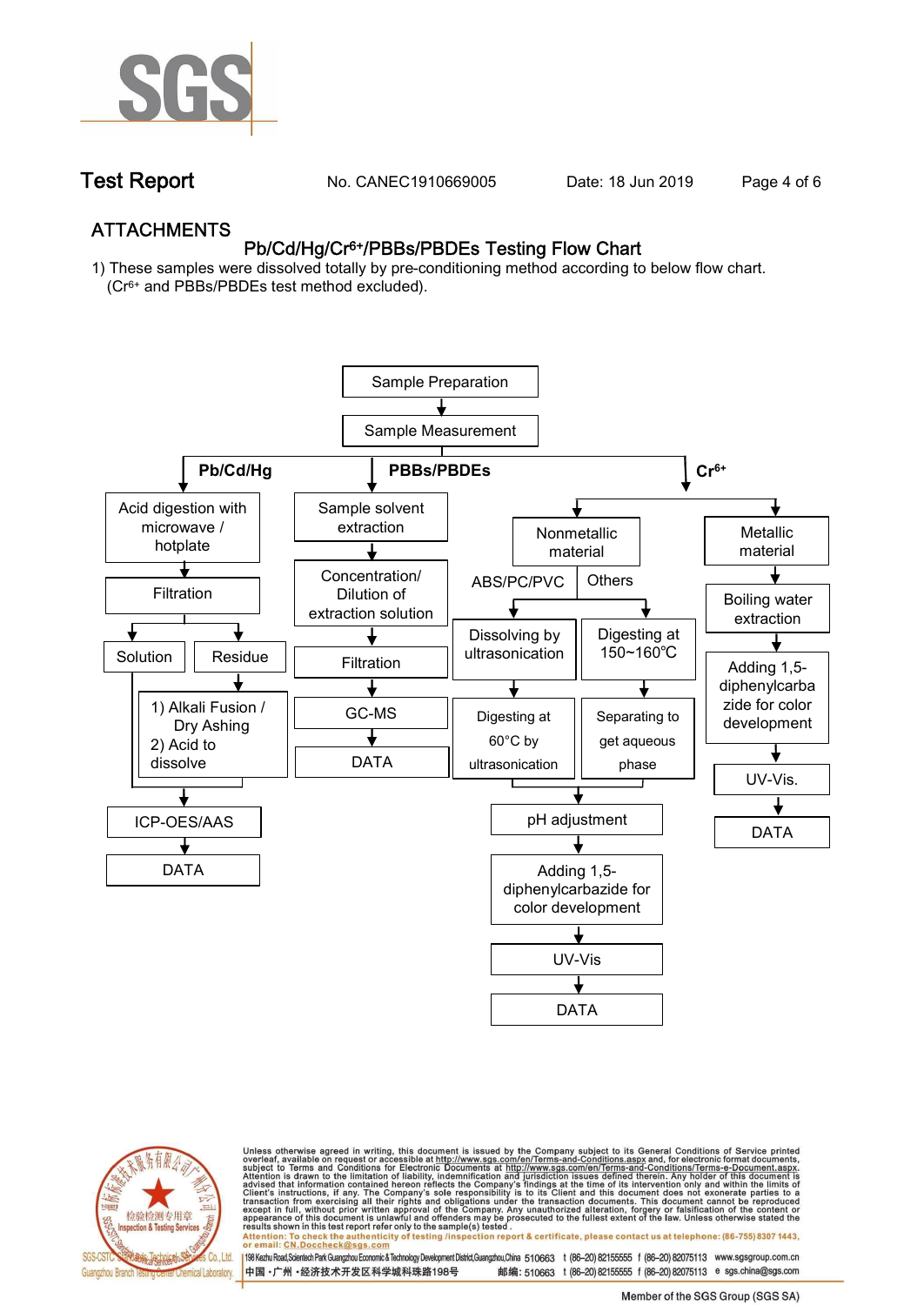

**Test Report. No. CANEC1910669005** Date: 18 Jun 2019 Page 4 of 6

## **ATTACHMENTS Pb/Cd/Hg/Cr6+/PBBs/PBDEs Testing Flow Chart**

**1) These samples were dissolved totally by pre-conditioning method according to below flow chart. (Cr6+ and PBBs/PBDEs test method excluded).**





Unless otherwise agreed in writing, this document is issued by the Company subject to its General Conditions of Service printed<br>overleaf, available on request or accessible at http://www.sgs.com/en/Terms-and-Conditions.asp résults shown in this test report refer only to the sample(s) tésted .<br>Attention: To check the authenticity of testing /inspection report & certificate, please contact us at telephone: (86-755) 8307 1443,<br>or email: <u>CN.Doc</u>

198 Kezhu Road,Scientech Park Guangzhou Economic & Technology Development District,Guangzhou,China 510663 t (86-20) 82155555 f (86-20) 82075113 www.sgsgroup.com.cn 邮编: 510663 t (86-20) 82155555 f (86-20) 82075113 e sgs.china@sgs.com 中国·广州·经济技术开发区科学城科珠路198号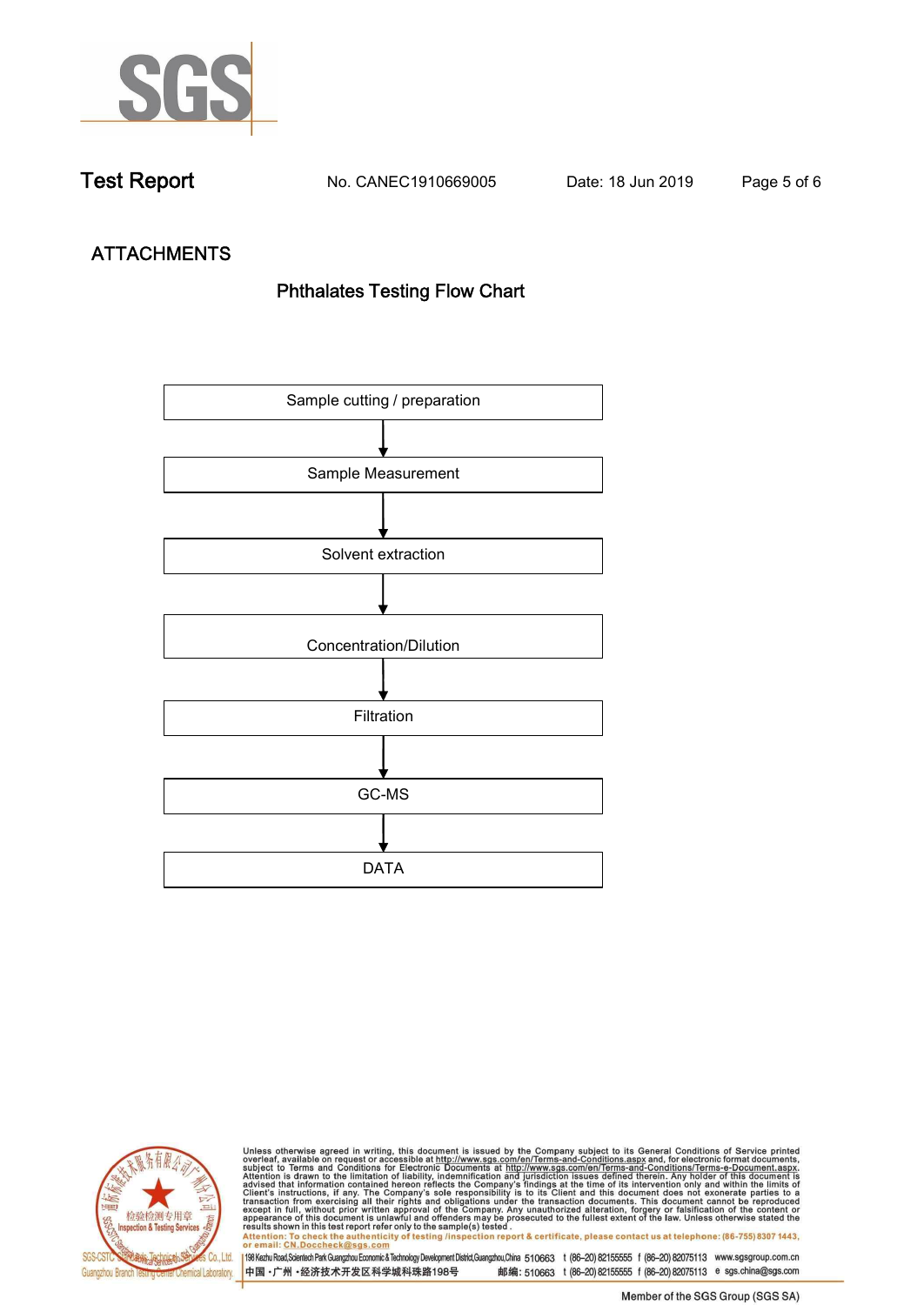

**Test Report. No. CANEC1910669005 Date: 18 Jun 2019. Page 5 of 6.**

# **ATTACHMENTS Phthalates Testing Flow Chart**





Unless otherwise agreed in writing, this document is issued by the Company subject to its General Conditions of Service printed<br>overleaf, available on request or accessible at http://www.sgs.com/en/Terms-and-Conditions.asp results shown in this test report refer only to the sample(s) tested .<br>Attention: To check the authenticity of testing /inspection report & certificate, please contact us at telephone: (86-755) 8307 1443,<br>or email: <u>CN.Doc</u>

198 Kezhu Road,Scientech Park Guangzhou Economic & Technology Development District,Guangzhou,China 510663 t (86-20) 82155555 f (86-20) 82075113 www.sgsgroup.com.cn 中国·广州·经济技术开发区科学城科珠路198号 邮编: 510663 t (86-20) 82155555 f (86-20) 82075113 e sgs.china@sgs.com